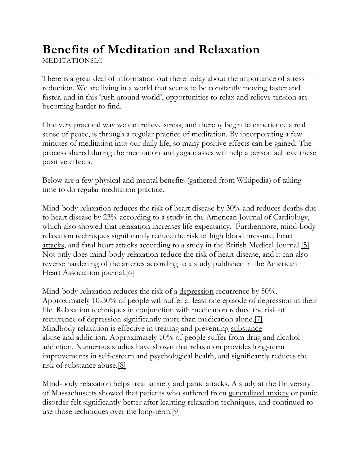## **Benefits of Meditation and Relaxation**

MEDITATIONSLC

There is a great deal of information out there today about the importance of stress reduction. We are living in a world that seems to be constantly moving faster and faster, and in this 'rush around world', opportunities to relax and relieve tension are becoming harder to find.

One very practical way we can relieve stress, and thereby begin to experience a real sense of peace, is through a regular practice of meditation. By incorporating a few minutes of meditation into our daily life, so many positive effects can be gained. The process shared during the meditation and yoga classes will help a person achieve these positive effects.

Below are a few physical and mental benefits (gathered from Wikipedia) of taking time to do regular meditation practice.

Mind-body relaxation reduces the risk of heart disease by 30% and reduces deaths due to heart disease by 23% according to a study in the American Journal of Cardiology, which also showed that relaxation increases life expectancy. Furthermore, mind-body relaxation techniques significantly reduce the risk of high blood [pressure,](http://en.wikipedia.org/wiki/High_blood_pressure) [heart](http://en.wikipedia.org/wiki/Heart_attacks) [attacks,](http://en.wikipedia.org/wiki/Heart_attacks) and fatal heart attacks according to a study in the British Medical Journal[.\[5\]](http://en.wikipedia.org/wiki/Mindbody_relaxation#cite_note-4) Not only does mind-body relaxation reduce the risk of heart disease, and it can also reverse hardening of the arteries according to a study published in the American Heart Association journal.<sup>[6]</sup>

Mind-body relaxation reduces the risk of a [depression](http://en.wikipedia.org/wiki/Depression_%28mood%29) recurrence by 50%. Approximately 10-30% of people will suffer at least one episode of depression in their life. Relaxation techniques in conjunction with medication reduce the risk of recurrence of depression significantly more than medication alone.<sup>[7]</sup> Mindbody relaxation is effective in treating and preventing [substance](http://en.wikipedia.org/wiki/Substance_abuse) [abuse](http://en.wikipedia.org/wiki/Substance_abuse) and [addiction.](http://en.wikipedia.org/wiki/Substance_dependence) Approximately 10% of people suffer from drug and alcohol addiction. Numerous studies have shown that relaxation provides long-term improvements in self-esteem and psychological health, and significantly reduces the risk of substance abuse[.\[8\]](http://en.wikipedia.org/wiki/Mindbody_relaxation#cite_note-7)

Mind-body relaxation helps treat <u>[anxiety](http://en.wikipedia.org/wiki/Anxiety)</u> and panic [attacks.](http://en.wikipedia.org/wiki/Panic_attacks) A study at the University of Massachusetts showed that patients who suffered from [generalized](http://en.wikipedia.org/wiki/Generalized_anxiety) anxiety or panic disorder felt significantly better after learning relaxation techniques, and continued to use those techniques over the long-term[.\[9\]](http://en.wikipedia.org/wiki/Mindbody_relaxation#cite_note-8)